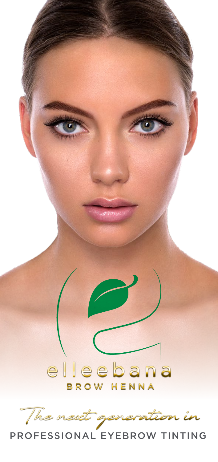

PROFESSIONAL EYEBROW TINTING